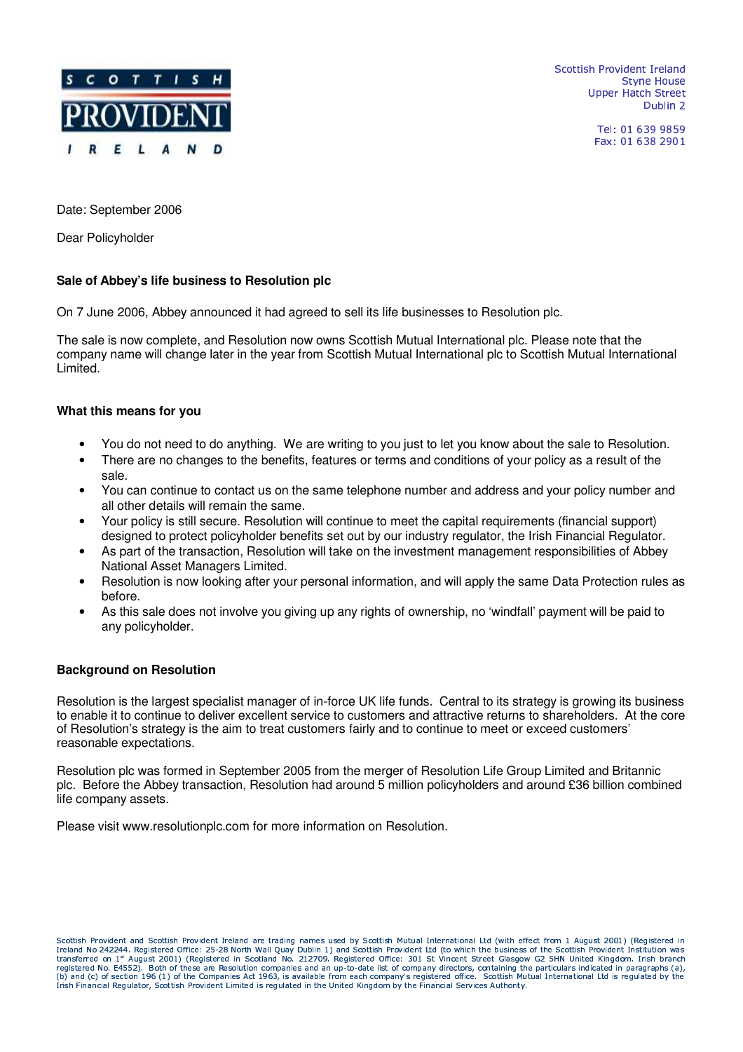

-  ! "\$# %Upper Hatch Street - #.\$ 0/

> Tel: 01 639 9859 Fax: 01 638 2901

Date: September 2006

Dear Policyholder

# **Sale of Abbey's life business to Resolution plc**

On 7 June 2006, Abbey announced it had agreed to sell its life businesses to Resolution plc.

The sale is now complete, and Resolution now owns Scottish Mutual International plc. Please note that the company name will change later in the year from Scottish Mutual International plc to Scottish Mutual International Limited.

## **What this means for you**

- You do not need to do anything. We are writing to you just to let you know about the sale to Resolution.
- There are no changes to the benefits, features or terms and conditions of your policy as a result of the sale.
- You can continue to contact us on the same telephone number and address and your policy number and all other details will remain the same.
- Your policy is still secure. Resolution will continue to meet the capital requirements (financial support) designed to protect policyholder benefits set out by our industry regulator, the Irish Financial Regulator.
- As part of the transaction, Resolution will take on the investment management responsibilities of Abbey National Asset Managers Limited.
- Resolution is now looking after your personal information, and will apply the same Data Protection rules as before.
- As this sale does not involve you giving up any rights of ownership, no 'windfall' payment will be paid to any policyholder.

## **Background on Resolution**

Resolution is the largest specialist manager of in-force UK life funds. Central to its strategy is growing its business to enable it to continue to deliver excellent service to customers and attractive returns to shareholders. At the core of Resolution's strategy is the aim to treat customers fairly and to continue to meet or exceed customers' reasonable expectations.

Resolution plc was formed in September 2005 from the merger of Resolution Life Group Limited and Britannic plc. Before the Abbey transaction, Resolution had around 5 million policyholders and around £36 billion combined life company assets.

Please visit www.resolutionplc.com for more information on Resolution.

BDCFEHGIG3J KLNM,OPEHQDJ RTSTU G\*VWU,RXB%CEHGIG3J K,LXM,OEHQYJ RWSTUHG"Z[OPST\ VWU,R]VWOIS^G3OV\_R%J U,`NU VWa\*S,Kcb\_KS,R]d e]B%CEHGIG3J KLNfbHG3b,VW\Z[UHG[STO[U,V G3J ETU VW\\$ghG[R]iIjJG3LXSHkkIS,ClG-k[OIETanmpobH`%b,KlG(qTrTrmHs@i[tWS,`J KlG[STOuSHRvJ <sup>U</sup> Z[OIST\ VYUHRxwE@q,y%qTq,yWyzt%S,`DJ KlG[STOIS,R^{kk[J CFS|qW}T~[q\_)wETOGPLVW\ \%\$bV ecbWdT\ <sup>J</sup> UvmHsVWU,RBClEHGIGJ KL)M,OIEFQYJ RTSTU G9guG[R)i G[EpjLWJ C,LpGPLWSdTbHK,J U\_S,KK(EkG3L\_SBDCFEHGIG3J KL)M,OIEHQDJ RTSTU GZ[U,KhGhJG3b G3J ETUpjV\_K transferred on 1st August 2001) (Registered in Scotland No. 212709. Registered Office: 301 St Vincent Street Glasgow G2 5HN United Kingdom. Irish branch (b) and (c) of section 196 (1) of the Companies Act 1963, is available from each company's registered office. Scottish Mutual International Ltd is regulated by the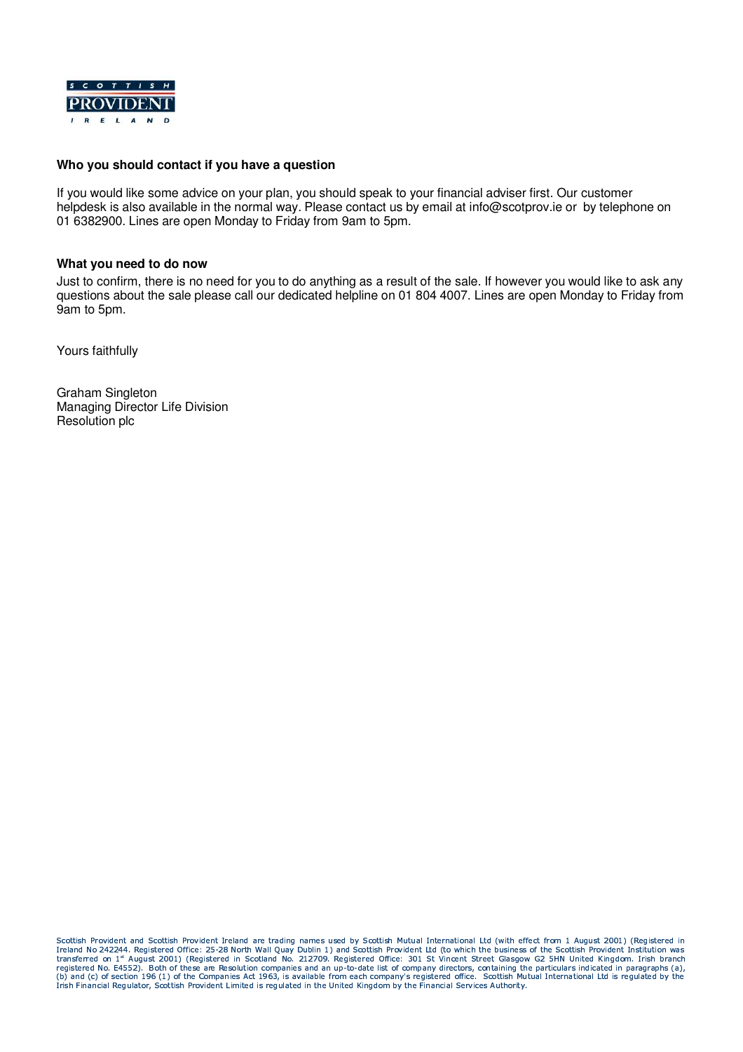

### **Who you should contact if you have a question**

If you would like some advice on your plan, you should speak to your financial adviser first. Our customer helpdesk is also available in the normal way. Please contact us by email at info@scotprov.ie or by telephone on 01 6382900. Lines are open Monday to Friday from 9am to 5pm.

#### **What you need to do now**

Just to confirm, there is no need for you to do anything as a result of the sale. If however you would like to ask any questions about the sale please call our dedicated helpline on 01 804 4007. Lines are open Monday to Friday from 9am to 5pm.

Yours faithfully

Graham Singleton Managing Director Life Division Resolution plc

BDCFEHGIG3J KLNM,OPEHQDJ RTSTU G\*VWU,RXB%CEHGIG3J K,LXM,OEHQYJ RWSTUHG"Z[OPST\ VWU,R]VWOIS^G3OV\_R%J U,`NU VWa\*S,Kcb\_KS,R]d e]B%CEHGIG3J KLNfbHG3b,VW\Z[UHG[STO[U,V G3J ETU VW\\$ghG[R]iIjJG3LXSHkkIS,ClG-k[OIETanmpobH`%b,KlG(qTrTrmHs@i[tWS,`J KlG[STOuSHRvJ <sup>U</sup> Ireland No 242244. Registered Office: 25-28 North Wall Quay Dublin 1) and Scottish Provident Ltd (to which the business of the Scottish Provident Institution was<br>transferred on 1\* August 2001) (Registered in Scotland No. 2